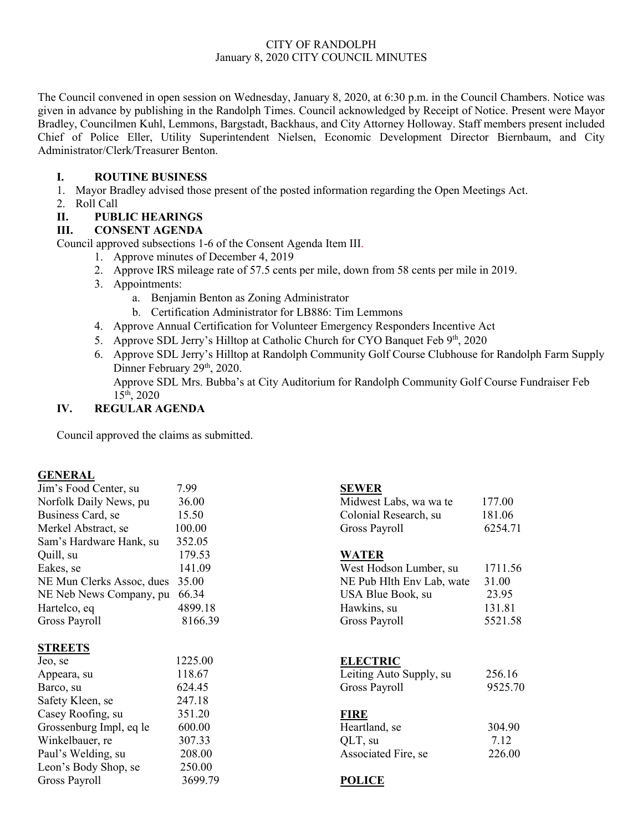# CITY OF RANDOLPH January 8, 2020 CITY COUNCIL MINUTES

The Council convened in open session on Wednesday, January 8, 2020, at 6:30 p.m. in the Council Chambers. Notice was given in advance by publishing in the Randolph Times. Council acknowledged by Receipt of Notice. Present were Mayor Bradley, Councilmen Kuhl, Lemmons, Bargstadt, Backhaus, and City Attorney Holloway. Staff members present included Chief of Police Eller, Utility Superintendent Nielsen, Economic Development Director Biernbaum, and City Administrator/Clerk/Treasurer Benton.

### **I. ROUTINE BUSINESS**

- 1. Mayor Bradley advised those present of the posted information regarding the Open Meetings Act.
- 2. Roll Call

### **II. PUBLIC HEARINGS**

### **III. CONSENT AGENDA**

Council approved subsections 1-6 of the Consent Agenda Item III.

- 1. Approve minutes of December 4, 2019
- 2. Approve IRS mileage rate of 57.5 cents per mile, down from 58 cents per mile in 2019.
- 3. Appointments:
	- a. Benjamin Benton as Zoning Administrator
	- b. Certification Administrator for LB886: Tim Lemmons
- 4. Approve Annual Certification for Volunteer Emergency Responders Incentive Act
- 5. Approve SDL Jerry's Hilltop at Catholic Church for CYO Banquet Feb 9th, 2020
- 6. Approve SDL Jerry's Hilltop at Randolph Community Golf Course Clubhouse for Randolph Farm Supply Dinner February 29<sup>th</sup>, 2020.

Approve SDL Mrs. Bubba's at City Auditorium for Randolph Community Golf Course Fundraiser Feb  $15^{th}$ , 2020

# **IV. REGULAR AGENDA**

Council approved the claims as submitted.

#### **GENERAL**

| Jim's Food Center, su     | 7.99    | <b>SEWER</b>              |         |
|---------------------------|---------|---------------------------|---------|
| Norfolk Daily News, pu    | 36.00   | Midwest Labs, wa wa te    | 177.00  |
| Business Card, se         | 15.50   | Colonial Research, su     | 181.06  |
| Merkel Abstract, se       | 100.00  | Gross Payroll             | 6254.71 |
| Sam's Hardware Hank, su   | 352.05  |                           |         |
| Quill, su                 | 179.53  | <b>WATER</b>              |         |
| Eakes, se                 | 141.09  | West Hodson Lumber, su    | 1711.56 |
| NE Mun Clerks Assoc, dues | 35.00   | NE Pub Hlth Env Lab, wate | 31.00   |
| NE Neb News Company, pu   | 66.34   | USA Blue Book, su         | 23.95   |
| Hartelco, eq              | 4899.18 | Hawkins, su               | 131.81  |
| Gross Payroll             | 8166.39 | Gross Payroll             | 5521.58 |
|                           |         |                           |         |
| <b>STREETS</b>            |         |                           |         |
| Jeo, se                   | 1225.00 | <b>ELECTRIC</b>           |         |
| Appeara, su               | 118.67  | Leiting Auto Supply, su   | 256.16  |
| Barco, su                 | 624.45  | Gross Payroll             | 9525.70 |
| Safety Kleen, se          | 247.18  |                           |         |
| Casey Roofing, su         | 351.20  | <b>FIRE</b>               |         |
| Grossenburg Impl, eq le   | 600.00  | Heartland, se             | 304.90  |
| Winkelbauer, re           | 307.33  | QLT, su                   | 7.12    |
| Paul's Welding, su        | 208.00  | Associated Fire, se       | 226.00  |
|                           |         |                           |         |
| Leon's Body Shop, se      | 250.00  |                           |         |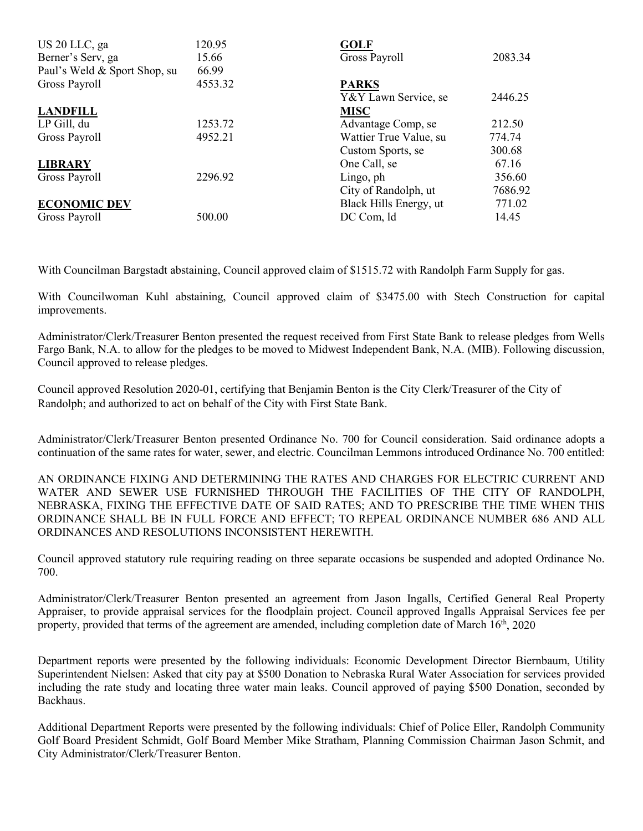| US 20 LLC, ga<br>Berner's Serv, ga | 120.95<br>15.66 | <b>GOLF</b><br>Gross Payroll | 2083.34 |
|------------------------------------|-----------------|------------------------------|---------|
| Paul's Weld & Sport Shop, su       | 66.99           |                              |         |
| Gross Payroll                      | 4553.32         | <b>PARKS</b>                 |         |
|                                    |                 | Y&Y Lawn Service, se         | 2446.25 |
| <b>LANDFILL</b>                    |                 | <b>MISC</b>                  |         |
| LP Gill, du                        | 1253.72         | Advantage Comp, se           | 212.50  |
| Gross Payroll                      | 4952.21         | Wattier True Value, su       | 774.74  |
|                                    |                 | Custom Sports, se            | 300.68  |
| <b>LIBRARY</b>                     |                 | One Call, se                 | 67.16   |
| Gross Payroll                      | 2296.92         | Lingo, ph                    | 356.60  |
|                                    |                 | City of Randolph, ut         | 7686.92 |
| <b>ECONOMIC DEV</b>                |                 | Black Hills Energy, ut       | 771.02  |
| Gross Payroll                      | 500.00          | DC Com, ld                   | 14.45   |

With Councilman Bargstadt abstaining, Council approved claim of \$1515.72 with Randolph Farm Supply for gas.

With Councilwoman Kuhl abstaining, Council approved claim of \$3475.00 with Stech Construction for capital improvements.

Administrator/Clerk/Treasurer Benton presented the request received from First State Bank to release pledges from Wells Fargo Bank, N.A. to allow for the pledges to be moved to Midwest Independent Bank, N.A. (MIB). Following discussion, Council approved to release pledges.

Council approved Resolution 2020-01, certifying that Benjamin Benton is the City Clerk/Treasurer of the City of Randolph; and authorized to act on behalf of the City with First State Bank.

Administrator/Clerk/Treasurer Benton presented Ordinance No. 700 for Council consideration. Said ordinance adopts a continuation of the same rates for water, sewer, and electric. Councilman Lemmons introduced Ordinance No. 700 entitled:

AN ORDINANCE FIXING AND DETERMINING THE RATES AND CHARGES FOR ELECTRIC CURRENT AND WATER AND SEWER USE FURNISHED THROUGH THE FACILITIES OF THE CITY OF RANDOLPH, NEBRASKA, FIXING THE EFFECTIVE DATE OF SAID RATES; AND TO PRESCRIBE THE TIME WHEN THIS ORDINANCE SHALL BE IN FULL FORCE AND EFFECT; TO REPEAL ORDINANCE NUMBER 686 AND ALL ORDINANCES AND RESOLUTIONS INCONSISTENT HEREWITH.

Council approved statutory rule requiring reading on three separate occasions be suspended and adopted Ordinance No. 700.

Administrator/Clerk/Treasurer Benton presented an agreement from Jason Ingalls, Certified General Real Property Appraiser, to provide appraisal services for the floodplain project. Council approved Ingalls Appraisal Services fee per property, provided that terms of the agreement are amended, including completion date of March 16<sup>th</sup>, 2020

Department reports were presented by the following individuals: Economic Development Director Biernbaum, Utility Superintendent Nielsen: Asked that city pay at \$500 Donation to Nebraska Rural Water Association for services provided including the rate study and locating three water main leaks. Council approved of paying \$500 Donation, seconded by Backhaus.

Additional Department Reports were presented by the following individuals: Chief of Police Eller, Randolph Community Golf Board President Schmidt, Golf Board Member Mike Stratham, Planning Commission Chairman Jason Schmit, and City Administrator/Clerk/Treasurer Benton.